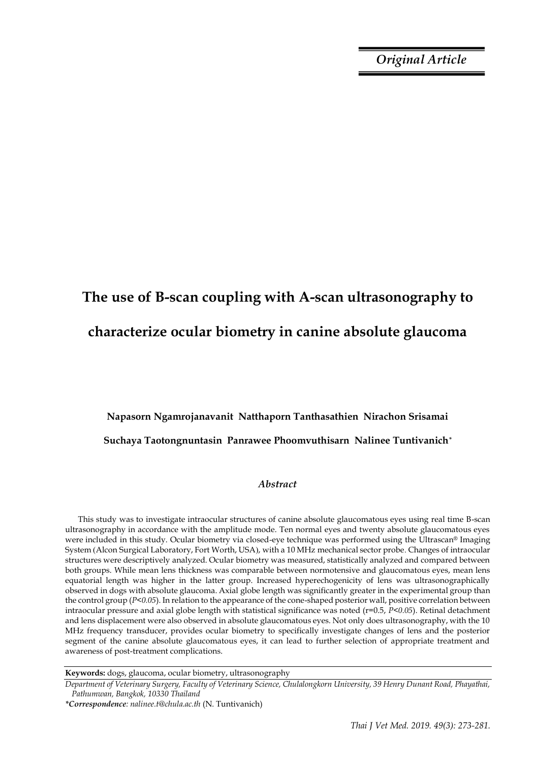*Original Article*

# **The use of B-scan coupling with A-scan ultrasonography to characterize ocular biometry in canine absolute glaucoma**

## **Napasorn Ngamrojanavanit Natthaporn Tanthasathien Nirachon Srisamai Suchaya Taotongnuntasin Panrawee Phoomvuthisarn Nalinee Tuntivanich\***

### *Abstract*

This study was to investigate intraocular structures of canine absolute glaucomatous eyes using real time B-scan ultrasonography in accordance with the amplitude mode. Ten normal eyes and twenty absolute glaucomatous eyes were included in this study. Ocular biometry via closed-eye technique was performed using the Ultrascan® Imaging System (Alcon Surgical Laboratory, Fort Worth, USA), with a 10 MHz mechanical sector probe. Changes of intraocular structures were descriptively analyzed. Ocular biometry was measured, statistically analyzed and compared between both groups. While mean lens thickness was comparable between normotensive and glaucomatous eyes, mean lens equatorial length was higher in the latter group. Increased hyperechogenicity of lens was ultrasonographically observed in dogs with absolute glaucoma. Axial globe length was significantly greater in the experimental group than the control group (*P<0.05*). In relation to the appearance of the cone-shaped posterior wall, positive correlation between intraocular pressure and axial globe length with statistical significance was noted (r=0.5, *P<0.05*). Retinal detachment and lens displacement were also observed in absolute glaucomatous eyes. Not only does ultrasonography, with the 10 MHz frequency transducer, provides ocular biometry to specifically investigate changes of lens and the posterior segment of the canine absolute glaucomatous eyes, it can lead to further selection of appropriate treatment and awareness of post-treatment complications.

**Keywords:** dogs, glaucoma, ocular biometry, ultrasonography

*Department of Veterinary Surgery, Faculty of Veterinary Science, Chulalongkorn University, 39 Henry Dunant Road, Phayathai, Pathumwan, Bangkok, 10330 Thailand*

*<sup>\*</sup>Correspondence: nalinee.t@chula.ac.th* (N. Tuntivanich)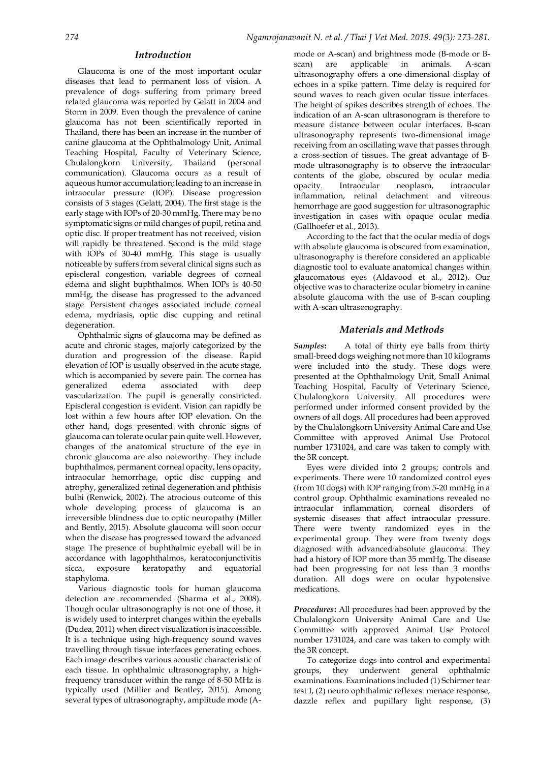#### *Introduction*

Glaucoma is one of the most important ocular diseases that lead to permanent loss of vision. A prevalence of dogs suffering from primary breed related glaucoma was reported by Gelatt in 2004 and Storm in 2009. Even though the prevalence of canine glaucoma has not been scientifically reported in Thailand, there has been an increase in the number of canine glaucoma at the Ophthalmology Unit, Animal Teaching Hospital, Faculty of Veterinary Science, Chulalongkorn University, Thailand (personal communication). Glaucoma occurs as a result of aqueous humor accumulation; leading to an increase in intraocular pressure (IOP). Disease progression consists of 3 stages (Gelatt, 2004). The first stage is the early stage with IOPs of 20-30 mmHg. There may be no symptomatic signs or mild changes of pupil, retina and optic disc. If proper treatment has not received, vision will rapidly be threatened. Second is the mild stage with IOPs of 30-40 mmHg. This stage is usually noticeable by suffers from several clinical signs such as episcleral congestion, variable degrees of corneal edema and slight buphthalmos. When IOPs is 40-50 mmHg, the disease has progressed to the advanced stage. Persistent changes associated include corneal edema, mydriasis, optic disc cupping and retinal degeneration.

Ophthalmic signs of glaucoma may be defined as acute and chronic stages, majorly categorized by the duration and progression of the disease. Rapid elevation of IOP is usually observed in the acute stage, which is accompanied by severe pain. The cornea has generalized edema associated with deep vascularization. The pupil is generally constricted. Episcleral congestion is evident. Vision can rapidly be lost within a few hours after IOP elevation. On the other hand, dogs presented with chronic signs of glaucoma can tolerate ocular pain quite well. However, changes of the anatomical structure of the eye in chronic glaucoma are also noteworthy. They include buphthalmos, permanent corneal opacity, lens opacity, intraocular hemorrhage, optic disc cupping and atrophy, generalized retinal degeneration and phthisis bulbi (Renwick, 2002). The atrocious outcome of this whole developing process of glaucoma is an irreversible blindness due to optic neuropathy (Miller and Bently, 2015). Absolute glaucoma will soon occur when the disease has progressed toward the advanced stage. The presence of buphthalmic eyeball will be in accordance with lagophthalmos, keratoconjunctivitis sicca, exposure keratopathy and equatorial staphyloma.

Various diagnostic tools for human glaucoma detection are recommended (Sharma et al., 2008). Though ocular ultrasonography is not one of those, it is widely used to interpret changes within the eyeballs (Dudea, 2011) when direct visualization is inaccessible. It is a technique using high-frequency sound waves travelling through tissue interfaces generating echoes. Each image describes various acoustic characteristic of each tissue. In ophthalmic ultrasonography, a highfrequency transducer within the range of 8-50 MHz is typically used (Millier and Bentley, 2015). Among several types of ultrasonography, amplitude mode (A- mode or A-scan) and brightness mode (B-mode or Bscan) are applicable in animals. A-scan ultrasonography offers a one-dimensional display of echoes in a spike pattern. Time delay is required for sound waves to reach given ocular tissue interfaces. The height of spikes describes strength of echoes. The indication of an A-scan ultrasonogram is therefore to measure distance between ocular interfaces. B-scan ultrasonography represents two-dimensional image receiving from an oscillating wave that passes through a cross-section of tissues. The great advantage of Bmode ultrasonography is to observe the intraocular contents of the globe, obscured by ocular media opacity. Intraocular neoplasm, intraocular inflammation, retinal detachment and vitreous hemorrhage are good suggestion for ultrasonographic investigation in cases with opaque ocular media (Gallhoefer et al., 2013).

According to the fact that the ocular media of dogs with absolute glaucoma is obscured from examination, ultrasonography is therefore considered an applicable diagnostic tool to evaluate anatomical changes within glaucomatous eyes (Aldavood et al., 2012). Our objective was to characterize ocular biometry in canine absolute glaucoma with the use of B-scan coupling with A-scan ultrasonography.

#### *Materials and Methods*

*Samples***:** A total of thirty eye balls from thirty small-breed dogs weighing not more than 10 kilograms were included into the study. These dogs were presented at the Ophthalmology Unit, Small Animal Teaching Hospital, Faculty of Veterinary Science, Chulalongkorn University. All procedures were performed under informed consent provided by the owners of all dogs. All procedures had been approved by the Chulalongkorn University Animal Care and Use Committee with approved Animal Use Protocol number 1731024, and care was taken to comply with the 3R concept.

Eyes were divided into 2 groups; controls and experiments. There were 10 randomized control eyes (from 10 dogs) with IOP ranging from 5-20 mmHg in a control group. Ophthalmic examinations revealed no intraocular inflammation, corneal disorders of systemic diseases that affect intraocular pressure. There were twenty randomized eyes in the experimental group. They were from twenty dogs diagnosed with advanced/absolute glaucoma. They had a history of IOP more than 35 mmHg. The disease had been progressing for not less than 3 months duration. All dogs were on ocular hypotensive medications.

*Procedures***:** All procedures had been approved by the Chulalongkorn University Animal Care and Use Committee with approved Animal Use Protocol number 1731024, and care was taken to comply with the 3R concept.

To categorize dogs into control and experimental groups, they underwent general ophthalmic examinations. Examinations included (1) Schirmer tear test I, (2) neuro ophthalmic reflexes: menace response, dazzle reflex and pupillary light response, (3)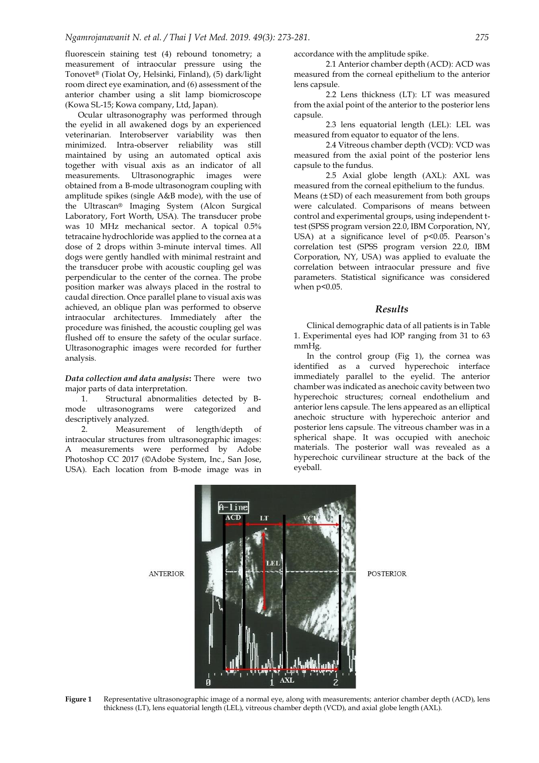fluorescein staining test (4) rebound tonometry; a measurement of intraocular pressure using the Tonovet® (Tiolat Oy, Helsinki, Finland), (5) dark/light room direct eye examination, and (6) assessment of the anterior chamber using a slit lamp biomicroscope (Kowa SL-15; Kowa company, Ltd, Japan).

Ocular ultrasonography was performed through the eyelid in all awakened dogs by an experienced veterinarian. Interobserver variability was then minimized. Intra-observer reliability was still maintained by using an automated optical axis together with visual axis as an indicator of all measurements. Ultrasonographic images were obtained from a B-mode ultrasonogram coupling with amplitude spikes (single A&B mode), with the use of the Ultrascan® Imaging System (Alcon Surgical Laboratory, Fort Worth, USA). The transducer probe was 10 MHz mechanical sector. A topical 0.5% tetracaine hydrochloride was applied to the cornea at a dose of 2 drops within 3-minute interval times. All dogs were gently handled with minimal restraint and the transducer probe with acoustic coupling gel was perpendicular to the center of the cornea. The probe position marker was always placed in the rostral to caudal direction. Once parallel plane to visual axis was achieved, an oblique plan was performed to observe intraocular architectures. Immediately after the procedure was finished, the acoustic coupling gel was flushed off to ensure the safety of the ocular surface. Ultrasonographic images were recorded for further analysis.

*Data collection and data analysis***:** There were two major parts of data interpretation.

1. Structural abnormalities detected by Bmode ultrasonograms were categorized and descriptively analyzed.

2. Measurement of length/depth of intraocular structures from ultrasonographic images: A measurements were performed by Adobe Photoshop CC 2017 (©Adobe System, Inc., San Jose, USA). Each location from B-mode image was in

**ANTERIOR** 

accordance with the amplitude spike.

2.1 Anterior chamber depth (ACD): ACD was measured from the corneal epithelium to the anterior lens capsule.

2.2 Lens thickness (LT): LT was measured from the axial point of the anterior to the posterior lens capsule.

2.3 lens equatorial length (LEL): LEL was measured from equator to equator of the lens.

2.4 Vitreous chamber depth (VCD): VCD was measured from the axial point of the posterior lens capsule to the fundus.

2.5 Axial globe length (AXL): AXL was measured from the corneal epithelium to the fundus. Means (± SD) of each measurement from both groups were calculated. Comparisons of means between control and experimental groups, using independent ttest (SPSS program version 22.0, IBM Corporation, NY, USA) at a significance level of p<0.05. Pearson's correlation test (SPSS program version 22.0, IBM Corporation, NY, USA) was applied to evaluate the correlation between intraocular pressure and five parameters. Statistical significance was considered when  $p<0.05$ .

#### *Results*

Clinical demographic data of all patients is in Table 1. Experimental eyes had IOP ranging from 31 to 63 mmHg.

In the control group (Fig 1), the cornea was identified as a curved hyperechoic interface immediately parallel to the eyelid. The anterior chamber was indicated as anechoic cavity between two hyperechoic structures; corneal endothelium and anterior lens capsule. The lens appeared as an elliptical anechoic structure with hyperechoic anterior and posterior lens capsule. The vitreous chamber was in a spherical shape. It was occupied with anechoic materials. The posterior wall was revealed as a hyperechoic curvilinear structure at the back of the eyeball.



**POSTERIOR** 

**Figure 1** Representative ultrasonographic image of a normal eye, along with measurements; anterior chamber depth (ACD), lens thickness (LT), lens equatorial length (LEL), vitreous chamber depth (VCD), and axial globe length (AXL).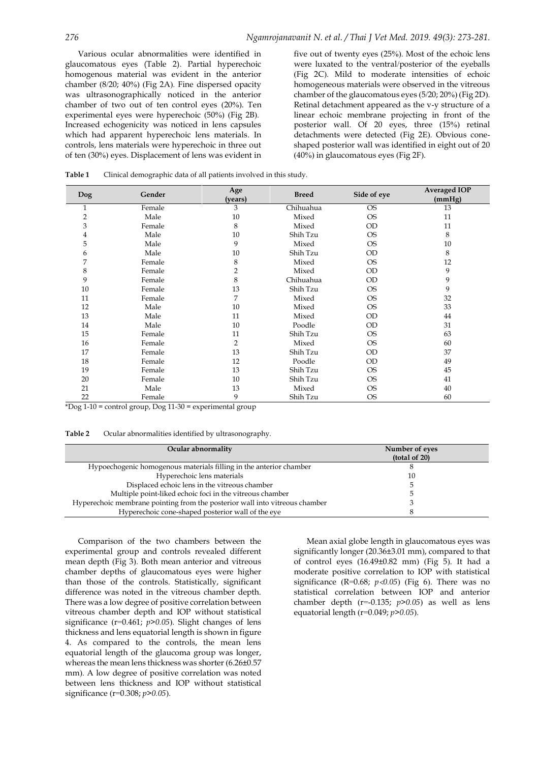Various ocular abnormalities were identified in glaucomatous eyes (Table 2). Partial hyperechoic homogenous material was evident in the anterior chamber (8/20; 40%) (Fig 2A). Fine dispersed opacity was ultrasonographically noticed in the anterior chamber of two out of ten control eyes (20%). Ten experimental eyes were hyperechoic (50%) (Fig 2B). Increased echogenicity was noticed in lens capsules which had apparent hyperechoic lens materials. In controls, lens materials were hyperechoic in three out of ten (30%) eyes. Displacement of lens was evident in

five out of twenty eyes (25%). Most of the echoic lens were luxated to the ventral/posterior of the eyeballs (Fig 2C). Mild to moderate intensities of echoic homogeneous materials were observed in the vitreous chamber of the glaucomatous eyes (5/20; 20%) (Fig 2D). Retinal detachment appeared as the v-y structure of a linear echoic membrane projecting in front of the posterior wall. Of 20 eyes, three (15%) retinal detachments were detected (Fig 2E). Obvious coneshaped posterior wall was identified in eight out of 20 (40%) in glaucomatous eyes (Fig 2F).

| <b>Dog</b>     | Gender | Age<br>(years) | <b>Breed</b> | Side of eye | <b>Averaged IOP</b><br>(mmHg) |
|----------------|--------|----------------|--------------|-------------|-------------------------------|
| 1              | Female | 3              | Chihuahua    | <b>OS</b>   | 13                            |
| $\overline{2}$ | Male   | 10             | Mixed        | <b>OS</b>   | 11                            |
| 3              | Female | 8              | Mixed        | <b>OD</b>   | 11                            |
| 4              | Male   | 10             | Shih Tzu     | <b>OS</b>   | 8                             |
| 5              | Male   | 9              | Mixed        | <b>OS</b>   | 10                            |
| 6              | Male   | 10             | Shih Tzu     | <b>OD</b>   | 8                             |
| 7              | Female | 8              | Mixed        | <b>OS</b>   | 12                            |
| 8              | Female | 2              | Mixed        | <b>OD</b>   | 9                             |
| 9              | Female | 8              | Chihuahua    | <b>OD</b>   | 9                             |
| 10             | Female | 13             | Shih Tzu     | <b>OS</b>   | 9                             |
| 11             | Female | 7              | Mixed        | <b>OS</b>   | 32                            |
| 12             | Male   | 10             | Mixed        | <b>OS</b>   | 33                            |
| 13             | Male   | 11             | Mixed        | <b>OD</b>   | 44                            |
| 14             | Male   | 10             | Poodle       | <b>OD</b>   | 31                            |
| 15             | Female | 11             | Shih Tzu     | <b>OS</b>   | 63                            |
| 16             | Female | $\overline{2}$ | Mixed        | <b>OS</b>   | 60                            |
| 17             | Female | 13             | Shih Tzu     | <b>OD</b>   | 37                            |
| 18             | Female | 12             | Poodle       | <b>OD</b>   | 49                            |
| 19             | Female | 13             | Shih Tzu     | <b>OS</b>   | 45                            |
| 20             | Female | 10             | Shih Tzu     | <b>OS</b>   | 41                            |
| 21             | Male   | 13             | Mixed        | <b>OS</b>   | 40                            |
| 22             | Female | 9              | Shih Tzu     | <b>OS</b>   | 60                            |

**Table 1** Clinical demographic data of all patients involved in this study.

 $*$ Dog 1-10 = control group, Dog 11-30 = experimental group

**Table 2** Ocular abnormalities identified by ultrasonography.

| Ocular abnormality                                                          | Number of eyes<br>(total of 20) |  |
|-----------------------------------------------------------------------------|---------------------------------|--|
| Hypoechogenic homogenous materials filling in the anterior chamber          |                                 |  |
| Hyperechoic lens materials                                                  | 10                              |  |
| Displaced echoic lens in the vitreous chamber                               |                                 |  |
| Multiple point-liked echoic foci in the vitreous chamber                    |                                 |  |
| Hyperechoic membrane pointing from the posterior wall into vitreous chamber |                                 |  |
| Hyperechoic cone-shaped posterior wall of the eye                           |                                 |  |

Comparison of the two chambers between the experimental group and controls revealed different mean depth (Fig 3). Both mean anterior and vitreous chamber depths of glaucomatous eyes were higher than those of the controls. Statistically, significant difference was noted in the vitreous chamber depth. There was a low degree of positive correlation between vitreous chamber depth and IOP without statistical significance (r=0.461; *p>0.05*). Slight changes of lens thickness and lens equatorial length is shown in figure 4. As compared to the controls, the mean lens equatorial length of the glaucoma group was longer, whereas the mean lens thickness was shorter (6.26±0.57 mm). A low degree of positive correlation was noted between lens thickness and IOP without statistical significance (r=0.308; *p>0.05*).

Mean axial globe length in glaucomatous eyes was significantly longer (20.36±3.01 mm), compared to that of control eyes (16.49±0.82 mm) (Fig 5). It had a moderate positive correlation to IOP with statistical significance (R=0.68;  $p$ <0.05) (Fig 6). There was no statistical correlation between IOP and anterior chamber depth (r=-0.135; *p>0.05*) as well as lens equatorial length (r=0.049; *p>0.05*).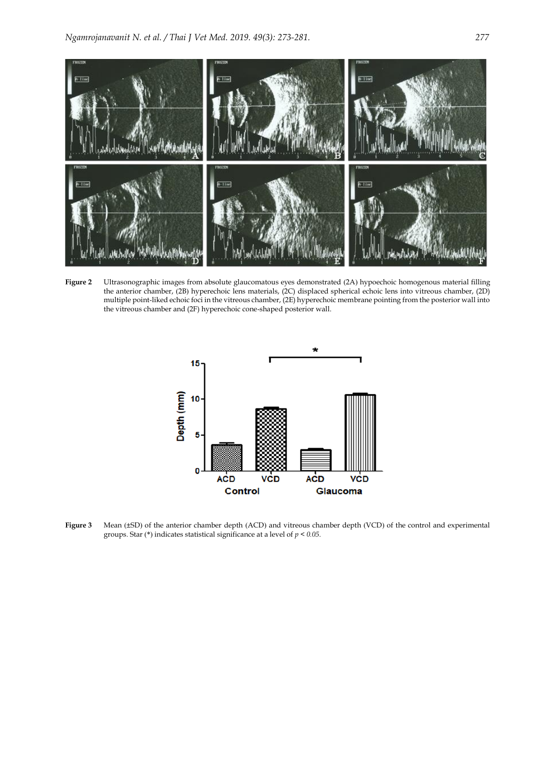

**Figure 2** Ultrasonographic images from absolute glaucomatous eyes demonstrated (2A) hypoechoic homogenous material filling the anterior chamber, (2B) hyperechoic lens materials, (2C) displaced spherical echoic lens into vitreous chamber, (2D) multiple point-liked echoic foci in the vitreous chamber, (2E) hyperechoic membrane pointing from the posterior wall into the vitreous chamber and (2F) hyperechoic cone-shaped posterior wall.



**Figure 3** Mean (±SD) of the anterior chamber depth (ACD) and vitreous chamber depth (VCD) of the control and experimental groups. Star (\*) indicates statistical significance at a level of *p < 0.05*.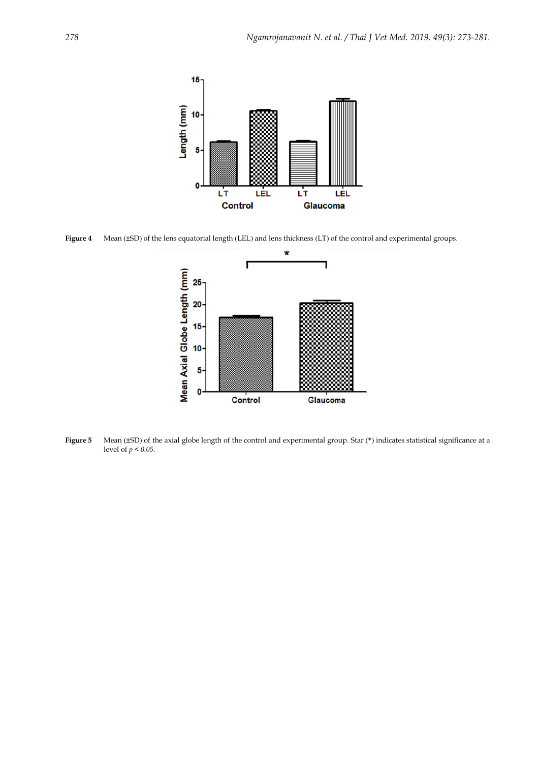

**Figure 4** Mean (±SD) of the lens equatorial length (LEL) and lens thickness (LT) of the control and experimental groups.



**Figure 5** Mean (±SD) of the axial globe length of the control and experimental group. Star (\*) indicates statistical significance at a level of  $p < 0.05$ .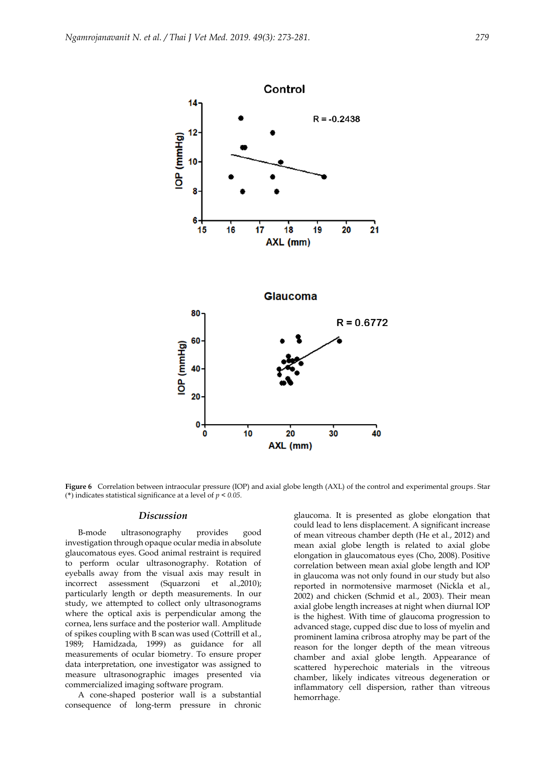

**Figure 6** Correlation between intraocular pressure (IOP) and axial globe length (AXL) of the control and experimental groups. Star (\*) indicates statistical significance at a level of  $p < 0.05$ .

#### *Discussion*

B-mode ultrasonography provides good investigation through opaque ocular media in absolute glaucomatous eyes. Good animal restraint is required to perform ocular ultrasonography. Rotation of eyeballs away from the visual axis may result in incorrect assessment (Squarzoni et al.,2010); particularly length or depth measurements. In our study, we attempted to collect only ultrasonograms where the optical axis is perpendicular among the cornea, lens surface and the posterior wall. Amplitude of spikes coupling with B scan was used (Cottrill et al., 1989; Hamidzada, 1999) as guidance for all measurements of ocular biometry. To ensure proper data interpretation, one investigator was assigned to measure ultrasonographic images presented via commercialized imaging software program.

A cone-shaped posterior wall is a substantial consequence of long-term pressure in chronic

glaucoma. It is presented as globe elongation that could lead to lens displacement. A significant increase of mean vitreous chamber depth (He et al., 2012) and mean axial globe length is related to axial globe elongation in glaucomatous eyes (Cho, 2008). Positive correlation between mean axial globe length and IOP in glaucoma was not only found in our study but also reported in normotensive marmoset (Nickla et al., 2002) and chicken (Schmid et al., 2003). Their mean axial globe length increases at night when diurnal IOP is the highest. With time of glaucoma progression to advanced stage, cupped disc due to loss of myelin and prominent lamina cribrosa atrophy may be part of the reason for the longer depth of the mean vitreous chamber and axial globe length. Appearance of scattered hyperechoic materials in the vitreous chamber, likely indicates vitreous degeneration or inflammatory cell dispersion, rather than vitreous hemorrhage.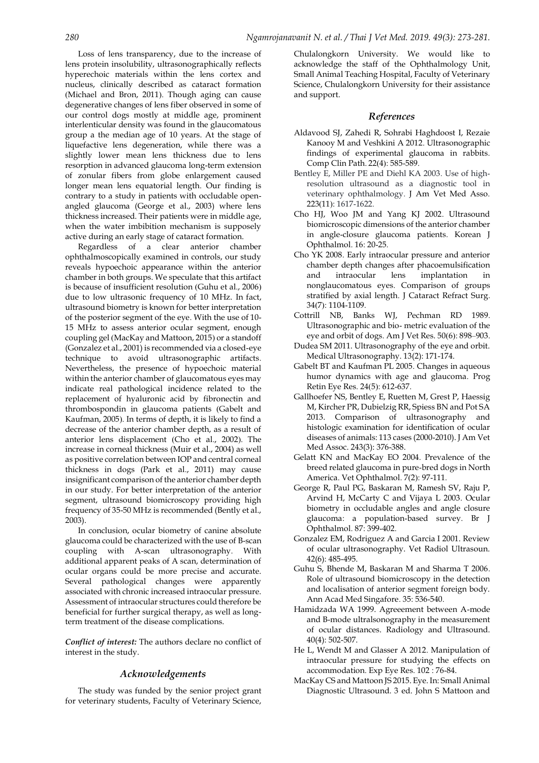Loss of lens transparency, due to the increase of lens protein insolubility, ultrasonographically reflects hyperechoic materials within the lens cortex and nucleus, clinically described as cataract formation (Michael and Bron, 2011). Though aging can cause degenerative changes of lens fiber observed in some of our control dogs mostly at middle age, prominent interlenticular density was found in the glaucomatous group a the median age of 10 years. At the stage of liquefactive lens degeneration, while there was a slightly lower mean lens thickness due to lens resorption in advanced glaucoma long-term extension of zonular fibers from globe enlargement caused longer mean lens equatorial length. Our finding is contrary to a study in patients with occludable openangled glaucoma (George et al., 2003) where lens thickness increased. Their patients were in middle age, when the water imbibition mechanism is supposely active during an early stage of cataract formation.

Regardless of a clear anterior chamber ophthalmoscopically examined in controls, our study reveals hypoechoic appearance within the anterior chamber in both groups. We speculate that this artifact is because of insufficient resolution (Guhu et al., 2006) due to low ultrasonic frequency of 10 MHz. In fact, ultrasound biometry is known for better interpretation of the posterior segment of the eye. With the use of 10- 15 MHz to assess anterior ocular segment, enough coupling gel (MacKay and Mattoon, 2015) or a standoff (Gonzalez et al., 2001) is recommended via a closed-eye technique to avoid ultrasonographic artifacts. Nevertheless, the presence of hypoechoic material within the anterior chamber of glaucomatous eyes may indicate real pathological incidence related to the replacement of hyaluronic acid by fibronectin and thrombospondin in glaucoma patients (Gabelt and Kaufman, 2005). In terms of depth, it is likely to find a decrease of the anterior chamber depth, as a result of anterior lens displacement (Cho et al., 2002). The increase in corneal thickness (Muir et al., 2004) as well as positive correlation between IOP and central corneal thickness in dogs (Park et al., 2011) may cause insignificant comparison of the anterior chamber depth in our study. For better interpretation of the anterior segment, ultrasound biomicroscopy providing high frequency of 35-50 MHz is recommended (Bently et al., 2003).

In conclusion, ocular biometry of canine absolute glaucoma could be characterized with the use of B-scan coupling with A-scan ultrasonography. With additional apparent peaks of A scan, determination of ocular organs could be more precise and accurate. Several pathological changes were apparently associated with chronic increased intraocular pressure. Assessment of intraocular structures could therefore be beneficial for further surgical therapy, as well as longterm treatment of the disease complications.

*Conflict of interest:* The authors declare no conflict of interest in the study.

#### *Acknowledgements*

The study was funded by the senior project grant for veterinary students, Faculty of Veterinary Science,

Chulalongkorn University. We would like to acknowledge the staff of the Ophthalmology Unit, Small Animal Teaching Hospital, Faculty of Veterinary Science, Chulalongkorn University for their assistance and support.

#### *References*

- Aldavood SJ, Zahedi R, Sohrabi Haghdoost I, Rezaie Kanooy M and Veshkini A 2012. Ultrasonographic findings of experimental glaucoma in rabbits. Comp Clin Path. 22(4): 585-589.
- Bentley E, Miller PE and Diehl KA 2003. Use of highresolution ultrasound as a diagnostic tool in veterinary ophthalmology. J Am Vet Med Asso. 223(11): 1617-1622.
- Cho HJ, Woo JM and Yang KJ 2002. Ultrasound biomicroscopic dimensions of the anterior chamber in angle-closure glaucoma patients. Korean J Ophthalmol. 16: 20-25.
- Cho YK 2008. Early intraocular pressure and anterior chamber depth changes after phacoemulsification and intraocular lens implantation in nonglaucomatous eyes. Comparison of groups stratified by axial length. J Cataract Refract Surg. 34(7): 1104-1109.
- Cottrill NB, Banks WJ, Pechman RD 1989. Ultrasonographic and bio- metric evaluation of the eye and orbit of dogs. Am J Vet Res. 50(6): 898–903.
- Dudea SM 2011. Ultrasonography of the eye and orbit. Medical Ultrasonography. 13(2): 171-174.
- Gabelt BT and Kaufman PL 2005. Changes in aqueous humor dynamics with age and glaucoma. Prog Retin Eye Res. 24(5): 612-637.
- Gallhoefer NS, Bentley E, Ruetten M, Grest P, Haessig M, Kircher PR, Dubielzig RR, Spiess BN and Pot SA 2013. Comparison of ultrasonography and histologic examination for identification of ocular diseases of animals: 113 cases (2000-2010). J Am Vet Med Assoc. 243(3): 376-388.
- Gelatt KN and MacKay EO 2004. Prevalence of the breed related glaucoma in pure-bred dogs in North America. Vet Ophthalmol. 7(2): 97-111.
- George R, Paul PG, Baskaran M, Ramesh SV, Raju P, Arvind H, McCarty C and Vijaya L 2003. Ocular biometry in occludable angles and angle closure glaucoma: a population-based survey. Br J Ophthalmol. 87: 399-402.
- Gonzalez EM, Rodriguez A and Garcia I 2001. Review of ocular ultrasonography. Vet Radiol Ultrasoun. 42(6): 485-495.
- Guhu S, Bhende M, Baskaran M and Sharma T 2006. Role of ultrasound biomicroscopy in the detection and localisation of anterior segment foreign body. Ann Acad Med Singafore. 35: 536-540.
- Hamidzada WA 1999. Agreeement between A-mode and B-mode ultralsonography in the measurement of ocular distances. Radiology and Ultrasound. 40(4): 502-507.
- He L, Wendt M and Glasser A 2012. Manipulation of intraocular pressure for studying the effects on accommodation. Exp Eye Res. 102 : 76-84.
- MacKay CS and Mattoon JS 2015. Eye. In: Small Animal Diagnostic Ultrasound. 3 ed. John S Mattoon and